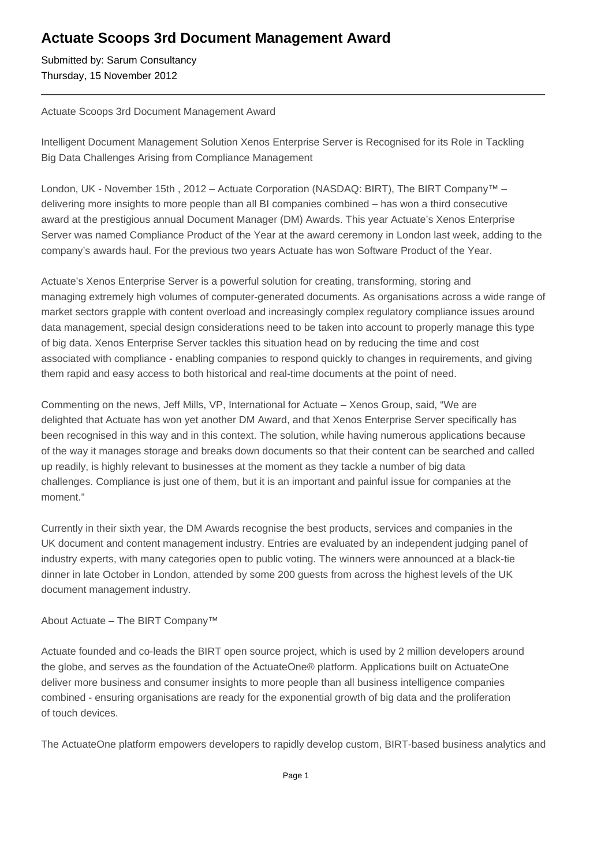## **Actuate Scoops 3rd Document Management Award**

Submitted by: Sarum Consultancy Thursday, 15 November 2012

## Actuate Scoops 3rd Document Management Award

Intelligent Document Management Solution Xenos Enterprise Server is Recognised for its Role in Tackling Big Data Challenges Arising from Compliance Management

London, UK - November 15th, 2012 – Actuate Corporation (NASDAQ: BIRT), The BIRT Company<sup>™</sup> – delivering more insights to more people than all BI companies combined – has won a third consecutive award at the prestigious annual Document Manager (DM) Awards. This year Actuate's Xenos Enterprise Server was named Compliance Product of the Year at the award ceremony in London last week, adding to the company's awards haul. For the previous two years Actuate has won Software Product of the Year.

Actuate's Xenos Enterprise Server is a powerful solution for creating, transforming, storing and managing extremely high volumes of computer-generated documents. As organisations across a wide range of market sectors grapple with content overload and increasingly complex regulatory compliance issues around data management, special design considerations need to be taken into account to properly manage this type of big data. Xenos Enterprise Server tackles this situation head on by reducing the time and cost associated with compliance - enabling companies to respond quickly to changes in requirements, and giving them rapid and easy access to both historical and real-time documents at the point of need.

Commenting on the news, Jeff Mills, VP, International for Actuate – Xenos Group, said, "We are delighted that Actuate has won yet another DM Award, and that Xenos Enterprise Server specifically has been recognised in this way and in this context. The solution, while having numerous applications because of the way it manages storage and breaks down documents so that their content can be searched and called up readily, is highly relevant to businesses at the moment as they tackle a number of big data challenges. Compliance is just one of them, but it is an important and painful issue for companies at the moment."

Currently in their sixth year, the DM Awards recognise the best products, services and companies in the UK document and content management industry. Entries are evaluated by an independent judging panel of industry experts, with many categories open to public voting. The winners were announced at a black-tie dinner in late October in London, attended by some 200 guests from across the highest levels of the UK document management industry.

## About Actuate – The BIRT Company™

Actuate founded and co-leads the BIRT open source project, which is used by 2 million developers around the globe, and serves as the foundation of the ActuateOne® platform. Applications built on ActuateOne deliver more business and consumer insights to more people than all business intelligence companies combined - ensuring organisations are ready for the exponential growth of big data and the proliferation of touch devices.

The ActuateOne platform empowers developers to rapidly develop custom, BIRT-based business analytics and